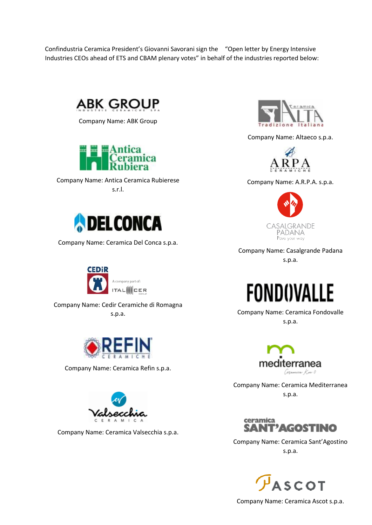Confindustria Ceramica President's Giovanni Savorani sign the "Open letter by Energy Intensive Industries CEOs ahead of ETS and CBAM plenary votes" in behalf of the industries reported below:



Company Name: ABK Group



Company Name: Antica Ceramica Rubierese s.r.l.



Company Name: Ceramica Del Conca s.p.a.



Company Name: Cedir Ceramiche di Romagna s.p.a.



Company Name: Ceramica Refin s.p.a.



Company Name: Ceramica Valsecchia s.p.a.



Company Name: Altaeco s.p.a.



Company Name: A.R.P.A. s.p.a.



Company Name: Casalgrande Padana

s.p.a.



Company Name: Ceramica Fondovalle s.p.a.



Company Name: Ceramica Mediterranea s.p.a.



Company Name: Ceramica Sant'Agostino s.p.a.



Company Name: Ceramica Ascot s.p.a.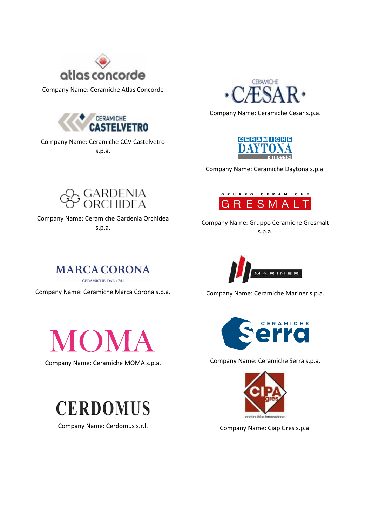

Company Name: Ceramiche Atlas Concorde



Company Name: Ceramiche CCV Castelvetro s.p.a.



Company Name: Ceramiche Cesar s.p.a.



Company Name: Ceramiche Daytona s.p.a.

GRUPPO CERAMICHE ESMAI



Company Name: Ceramiche Gardenia Orchidea s.p.a.



Company Name: Gruppo Ceramiche Gresmalt

Company Name: Ceramiche Mariner s.p.a.

MARINER



Company Name: Ceramiche Marca Corona s.p.a.

CERAMICHE DAL 1741

**MARCA CORONA** 

Company Name: Ceramiche MOMA s.p.a.



Company Name: Cerdomus s.r.l.



Company Name: Ceramiche Serra s.p.a.



Company Name: Ciap Gres s.p.a.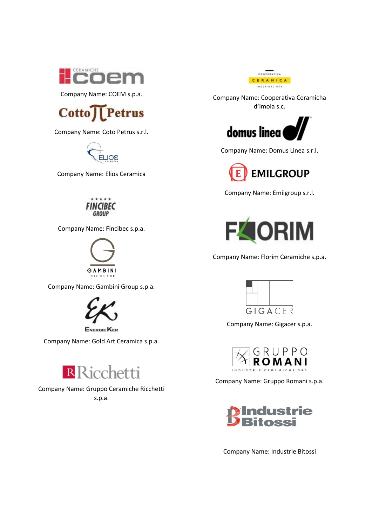

Company Name: COEM s.p.a.



Company Name: Coto Petrus s.r.l.



Company Name: Elios Ceramica

## \*\*\*\* **FINCIBEC GROUP**

Company Name: Fincibec s.p.a.



Company Name: Gambini Group s.p.a.



**ENERGIE KER** 

Company Name: Gold Art Ceramica s.p.a.



Company Name: Gruppo Ceramiche Ricchetti s.p.a.



Company Name: Cooperativa Ceramicha d'Imola s.c.



Company Name: Domus Linea s.r.l.



Company Name: Emilgroup s.r.l.



Company Name: Florim Ceramiche s.p.a.



Company Name: Gigacer s.p.a.



Company Name: Gruppo Romani s.p.a.



Company Name: Industrie Bitossi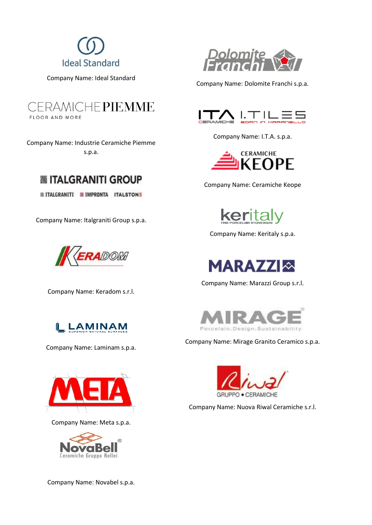

Company Name: Ideal Standard



Company Name: Industrie Ceramiche Piemme s.p.a.



**IN ITALGRANITI IN IMPRONTA ITALSTONE** 

Company Name: Italgraniti Group s.p.a.



Company Name: Keradom s.r.l.



Company Name: Laminam s.p.a.



Company Name: Meta s.p.a.



Company Name: Novabel s.p.a.



Company Name: Dolomite Franchi s.p.a.



Company Name: I.T.A. s.p.a.



Company Name: Ceramiche Keope



Company Name: Keritaly s.p.a.



Company Name: Marazzi Group s.r.l.



Company Name: Mirage Granito Ceramico s.p.a.



Company Name: Nuova Riwal Ceramiche s.r.l.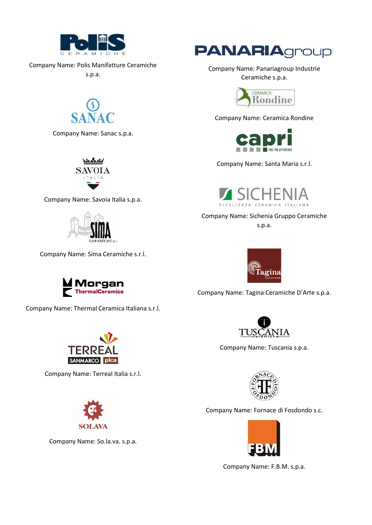

Company Name: Polis Manifatture Ceramiche

s.p.a.



Company Name: Sanac s.p.a.



Company Name: Savoia Italia s.p.a.



Company Name: Sima Ceramiche s.r.l.



Company Name: Thermal Ceramica Italiana s.r.l.



Company Name: Terreal Italia s.r.l.



Company Name: So.la.va. s.p.a.



Company Name: Panariagroup Industrie Ceramiche s.p.a.



Company Name: Ceramica Rondine



Company Name: Santa Maria s.r.l.



Company Name: Sichenia Gruppo Ceramiche s.p.a.



Company Name: Tagina Ceramiche D'Arte s.p.a.



Company Name: Tuscania s.p.a.



Company Name: Fornace di Fosdondo s.c.



Company Name: F.B.M. s.p.a.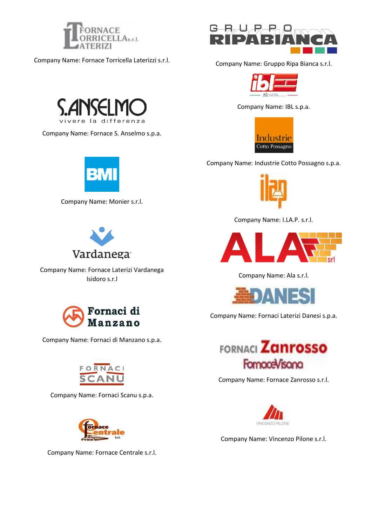

Company Name: Fornace Torricella Laterizzi s.r.l.



Company Name: Fornace S. Anselmo s.p.a.



Company Name: Monier s.r.l.



Company Name: Fornace Laterizi Vardanega Isidoro s.r.l



Company Name: Fornaci di Manzano s.p.a.



Company Name: Fornaci Scanu s.p.a.



Company Name: Fornace Centrale s.r.l.



Company Name: Gruppo Ripa Bianca s.r.l.



Company Name: IBL s.p.a.



Company Name: Industrie Cotto Possagno s.p.a.



Company Name: I.LA.P. s.r.l.



Company Name: Ala s.r.l.



Company Name: Fornaci Laterizi Danesi s.p.a.



Company Name: Fornace Zanrosso s.r.l.



Company Name: Vincenzo Pilone s.r.l.